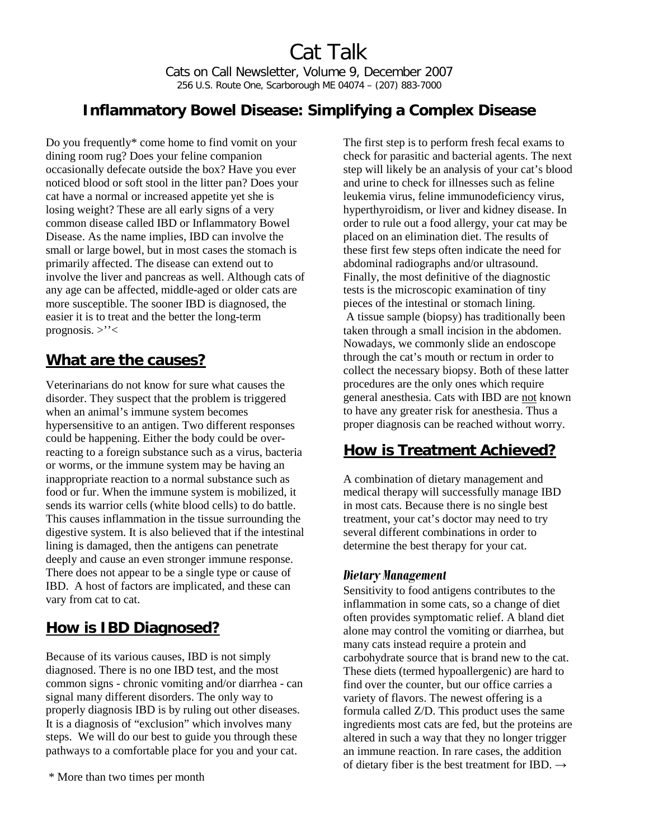Cat Talk Cats on Call Newsletter, Volume 9, December 2007 256 U.S. Route One, Scarborough ME 04074 – (207) 883-7000

## **Inflammatory Bowel Disease: Simplifying a Complex Disease**

Do you frequently\* come home to find vomit on your dining room rug? Does your feline companion occasionally defecate outside the box? Have you ever noticed blood or soft stool in the litter pan? Does your cat have a normal or increased appetite yet she is losing weight? These are all early signs of a very common disease called IBD or Inflammatory Bowel Disease. As the name implies, IBD can involve the small or large bowel, but in most cases the stomach is primarily affected. The disease can extend out to involve the liver and pancreas as well. Although cats of any age can be affected, middle-aged or older cats are more susceptible. The sooner IBD is diagnosed, the easier it is to treat and the better the long-term prognosis. >''<

## **What are the causes?**

Veterinarians do not know for sure what causes the disorder. They suspect that the problem is triggered when an animal's immune system becomes hypersensitive to an antigen. Two different responses could be happening. Either the body could be overreacting to a foreign substance such as a virus, bacteria or worms, or the immune system may be having an inappropriate reaction to a normal substance such as food or fur. When the immune system is mobilized, it sends its warrior cells (white blood cells) to do battle. This causes inflammation in the tissue surrounding the digestive system. It is also believed that if the intestinal lining is damaged, then the antigens can penetrate deeply and cause an even stronger immune response. There does not appear to be a single type or cause of IBD. A host of factors are implicated, and these can vary from cat to cat.

## **How is IBD Diagnosed?**

Because of its various causes, IBD is not simply diagnosed. There is no one IBD test, and the most common signs - chronic vomiting and/or diarrhea - can signal many different disorders. The only way to properly diagnosis IBD is by ruling out other diseases. It is a diagnosis of "exclusion" which involves many steps. We will do our best to guide you through these pathways to a comfortable place for you and your cat.

The first step is to perform fresh fecal exams to check for parasitic and bacterial agents. The next step will likely be an analysis of your cat's blood and urine to check for illnesses such as feline leukemia virus, feline immunodeficiency virus, hyperthyroidism, or liver and kidney disease. In order to rule out a food allergy, your cat may be placed on an elimination diet. The results of these first few steps often indicate the need for abdominal radiographs and/or ultrasound. Finally, the most definitive of the diagnostic tests is the microscopic examination of tiny pieces of the intestinal or stomach lining. A tissue sample (biopsy) has traditionally been taken through a small incision in the abdomen. Nowadays, we commonly slide an endoscope through the cat's mouth or rectum in order to collect the necessary biopsy. Both of these latter procedures are the only ones which require general anesthesia. Cats with IBD are not known to have any greater risk for anesthesia. Thus a proper diagnosis can be reached without worry.

# **How is Treatment Achieved?**

A combination of dietary management and medical therapy will successfully manage IBD in most cats. Because there is no single best treatment, your cat's doctor may need to try several different combinations in order to determine the best therapy for your cat.

#### *Dietary Management*

Sensitivity to food antigens contributes to the inflammation in some cats, so a change of diet often provides symptomatic relief. A bland diet alone may control the vomiting or diarrhea, but many cats instead require a protein and carbohydrate source that is brand new to the cat. These diets (termed hypoallergenic) are hard to find over the counter, but our office carries a variety of flavors. The newest offering is a formula called Z/D. This product uses the same ingredients most cats are fed, but the proteins are altered in such a way that they no longer trigger an immune reaction. In rare cases, the addition of dietary fiber is the best treatment for IBD.  $\rightarrow$ 

<sup>\*</sup> More than two times per month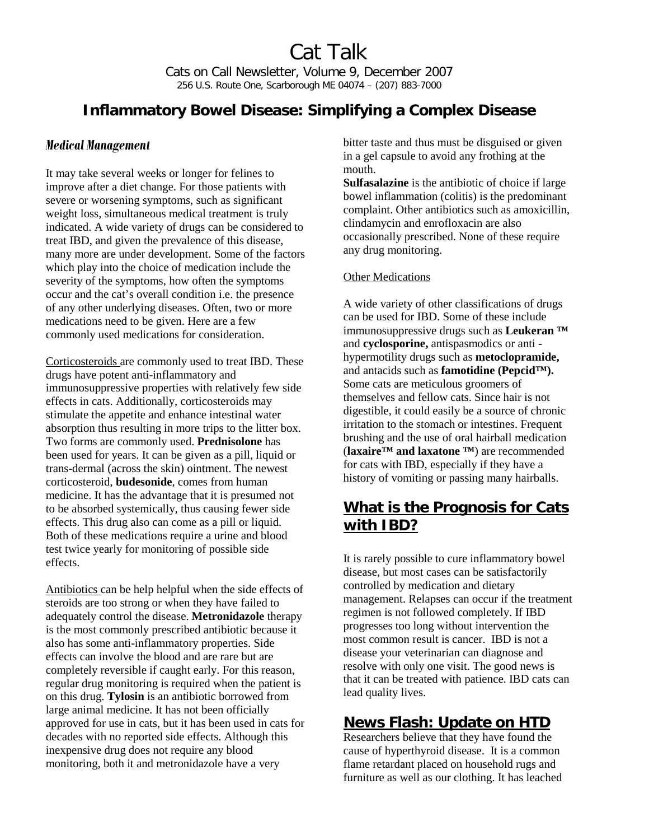Cat Talk Cats on Call Newsletter, Volume 9, December 2007 256 U.S. Route One, Scarborough ME 04074 – (207) 883-7000

## **Inflammatory Bowel Disease: Simplifying a Complex Disease**

#### *Medical Management*

It may take several weeks or longer for felines to improve after a diet change. For those patients with severe or worsening symptoms, such as significant weight loss, simultaneous medical treatment is truly indicated. A wide variety of drugs can be considered to treat IBD, and given the prevalence of this disease, many more are under development. Some of the factors which play into the choice of medication include the severity of the symptoms, how often the symptoms occur and the cat's overall condition i.e. the presence of any other underlying diseases. Often, two or more medications need to be given. Here are a few commonly used medications for consideration.

Corticosteroids are commonly used to treat IBD. These drugs have potent anti-inflammatory and immunosuppressive properties with relatively few side effects in cats. Additionally, corticosteroids may stimulate the appetite and enhance intestinal water absorption thus resulting in more trips to the litter box. Two forms are commonly used. **Prednisolone** has been used for years. It can be given as a pill, liquid or trans-dermal (across the skin) ointment. The newest corticosteroid, **budesonide**, comes from human medicine. It has the advantage that it is presumed not to be absorbed systemically, thus causing fewer side effects. This drug also can come as a pill or liquid. Both of these medications require a urine and blood test twice yearly for monitoring of possible side effects.

Antibiotics can be help helpful when the side effects of steroids are too strong or when they have failed to adequately control the disease. **Metronidazole** therapy is the most commonly prescribed antibiotic because it also has some anti-inflammatory properties. Side effects can involve the blood and are rare but are completely reversible if caught early. For this reason, regular drug monitoring is required when the patient is on this drug. **Tylosin** is an antibiotic borrowed from large animal medicine. It has not been officially approved for use in cats, but it has been used in cats for decades with no reported side effects. Although this inexpensive drug does not require any blood monitoring, both it and metronidazole have a very

bitter taste and thus must be disguised or given in a gel capsule to avoid any frothing at the mouth.

**Sulfasalazine** is the antibiotic of choice if large bowel inflammation (colitis) is the predominant complaint. Other antibiotics such as amoxicillin, clindamycin and enrofloxacin are also occasionally prescribed. None of these require any drug monitoring.

#### Other Medications

A wide variety of other classifications of drugs can be used for IBD. Some of these include immunosuppressive drugs such as **Leukeran ™** and **cyclosporine,** antispasmodics or anti hypermotility drugs such as **metoclopramide,**  and antacids such as **famotidine (Pepcid™).** Some cats are meticulous groomers of themselves and fellow cats. Since hair is not digestible, it could easily be a source of chronic irritation to the stomach or intestines. Frequent brushing and the use of oral hairball medication (**laxaire™ and laxatone ™**) are recommended for cats with IBD, especially if they have a history of vomiting or passing many hairballs.

## **What is the Prognosis for Cats with IBD?**

It is rarely possible to cure inflammatory bowel disease, but most cases can be satisfactorily controlled by medication and dietary management. Relapses can occur if the treatment regimen is not followed completely. If IBD progresses too long without intervention the most common result is cancer. IBD is not a disease your veterinarian can diagnose and resolve with only one visit. The good news is that it can be treated with patience. IBD cats can lead quality lives.

### **News Flash: Update on HTD**

Researchers believe that they have found the cause of hyperthyroid disease. It is a common flame retardant placed on household rugs and furniture as well as our clothing. It has leached